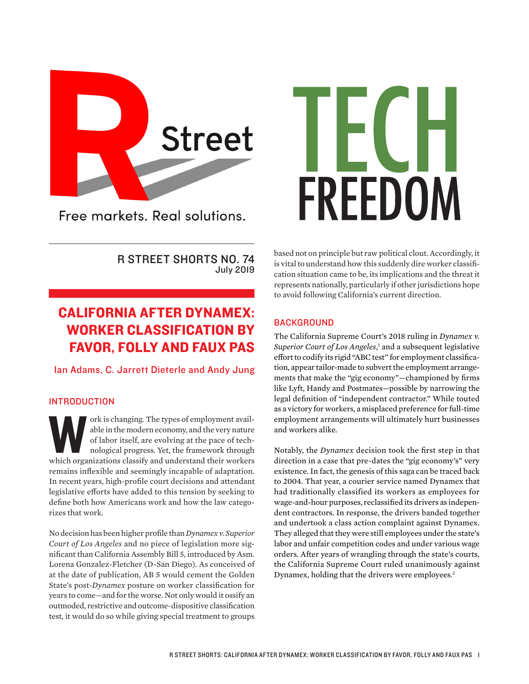

Free markets. Real solutions.

# FREEDOM

R STREET SHORTS NO. 74 July 2019

# CALIFORNIA AFTER DYNAMEX: WORKER CLASSIFICATION BY FAVOR, FOLLY AND FAUX PAS

Ian Adams, C. Jarrett Dieterle and Andy Jung

## INTRODUCTION

ork is changing. The types of employment available in the modern economy, and the very nature of labor itself, are evolving at the pace of technological progress. Yet, the framework through which organizations classify and able in the modern economy, and the very nature of labor itself, are evolving at the pace of technological progress. Yet, the framework through remains inflexible and seemingly incapable of adaptation. In recent years, high-profile court decisions and attendant legislative efforts have added to this tension by seeking to define both how Americans work and how the law categorizes that work.

No decision has been higher profile than *Dynamex v. Superior Court of Los Angeles* and no piece of legislation more significant than California Assembly Bill 5, introduced by Asm. Lorena Gonzalez-Fletcher (D-San Diego). As conceived of at the date of publication, AB 5 would cement the Golden State's post-*Dynamex* posture on worker classification for years to come—and for the worse. Not only would it ossify an outmoded, restrictive and outcome-dispositive classification test, it would do so while giving special treatment to groups based not on principle but raw political clout. Accordingly, it is vital to understand how this suddenly dire worker classification situation came to be, its implications and the threat it represents nationally, particularly if other jurisdictions hope to avoid following California's current direction.

## **BACKGROUND**

The California Supreme Court's 2018 ruling in *Dynamex v.*  Superior Court of Los Angeles,<sup>1</sup> and a subsequent legislative effort to codify its rigid "ABC test" for employment classification, appear tailor-made to subvert the employment arrangements that make the "gig economy"—championed by firms like Lyft, Handy and Postmates—possible by narrowing the legal definition of "independent contractor." While touted as a victory for workers, a misplaced preference for full-time employment arrangements will ultimately hurt businesses and workers alike.

Notably, the *Dynamex* decision took the first step in that direction in a case that pre-dates the "gig economy's" very existence. In fact, the genesis of this saga can be traced back to 2004. That year, a courier service named Dynamex that had traditionally classified its workers as employees for wage-and-hour purposes, reclassified its drivers as independent contractors. In response, the drivers banded together and undertook a class action complaint against Dynamex. They alleged that they were still employees under the state's labor and unfair competition codes and under various wage orders. After years of wrangling through the state's courts, the California Supreme Court ruled unanimously against Dynamex, holding that the drivers were employees.<sup>2</sup>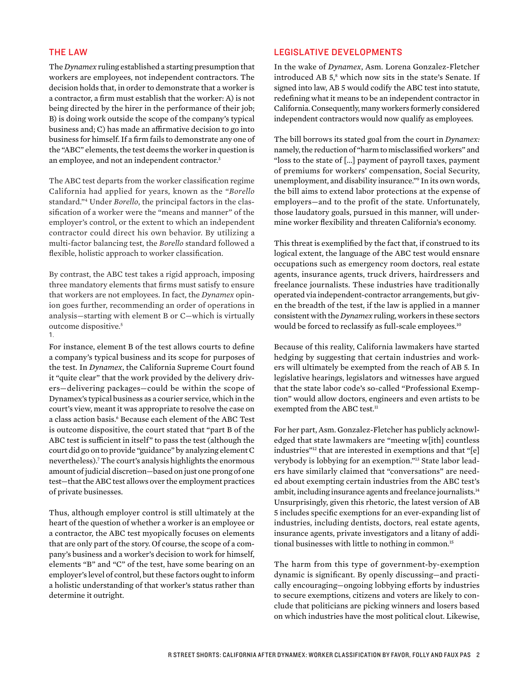### THE LAW

The *Dynamex* ruling established a starting presumption that workers are employees, not independent contractors. The decision holds that, in order to demonstrate that a worker is a contractor, a firm must establish that the worker: A) is not being directed by the hirer in the performance of their job; B) is doing work outside the scope of the company's typical business and; C) has made an affirmative decision to go into business for himself. If a firm fails to demonstrate any one of the "ABC" elements, the test deems the worker in question is an employee, and not an independent contractor.<sup>3</sup>

The ABC test departs from the worker classification regime California had applied for years, known as the "*Borello* standard."4 Under *Borello*, the principal factors in the classification of a worker were the "means and manner" of the employer's control, or the extent to which an independent contractor could direct his own behavior. By utilizing a multi-factor balancing test, the *Borello* standard followed a flexible, holistic approach to worker classification.

By contrast, the ABC test takes a rigid approach, imposing three mandatory elements that firms must satisfy to ensure that workers are not employees. In fact, the *Dynamex* opinion goes further, recommending an order of operations in analysis—starting with element B or C—which is virtually outcome dispositive.5 1.

For instance, element B of the test allows courts to define a company's typical business and its scope for purposes of the test. In *Dynamex*, the California Supreme Court found it "quite clear" that the work provided by the delivery drivers—delivering packages—could be within the scope of Dynamex's typical business as a courier service, which in the court's view, meant it was appropriate to resolve the case on a class action basis.6 Because each element of the ABC Test is outcome dispositive, the court stated that "part B of the ABC test is sufficient in itself" to pass the test (although the court did go on to provide "guidance" by analyzing element C nevertheless).7 The court's analysis highlights the enormous amount of judicial discretion—based on just one prong of one test—that the ABC test allows over the employment practices of private businesses.

Thus, although employer control is still ultimately at the heart of the question of whether a worker is an employee or a contractor, the ABC test myopically focuses on elements that are only part of the story. Of course, the scope of a company's business and a worker's decision to work for himself, elements "B" and "C" of the test, have some bearing on an employer's level of control, but these factors ought to inform a holistic understanding of that worker's status rather than determine it outright.

### LEGISLATIVE DEVELOPMENTS

In the wake of *Dynamex*, Asm. Lorena Gonzalez-Fletcher introduced AB 5,<sup>8</sup> which now sits in the state's Senate. If signed into law, AB 5 would codify the ABC test into statute, redefining what it means to be an independent contractor in California. Consequently, many workers formerly considered independent contractors would now qualify as employees.

The bill borrows its stated goal from the court in *Dynamex:*  namely, the reduction of "harm to misclassified workers" and "loss to the state of [...] payment of payroll taxes, payment of premiums for workers' compensation, Social Security, unemployment, and disability insurance."9 In its own words, the bill aims to extend labor protections at the expense of employers—and to the profit of the state. Unfortunately, those laudatory goals, pursued in this manner, will undermine worker flexibility and threaten California's economy.

This threat is exemplified by the fact that, if construed to its logical extent, the language of the ABC test would ensnare occupations such as emergency room doctors, real estate agents, insurance agents, truck drivers, hairdressers and freelance journalists. These industries have traditionally operated via independent-contractor arrangements, but given the breadth of the test, if the law is applied in a manner consistent with the *Dynamex* ruling, workers in these sectors would be forced to reclassify as full-scale employees.<sup>10</sup>

Because of this reality, California lawmakers have started hedging by suggesting that certain industries and workers will ultimately be exempted from the reach of AB 5. In legislative hearings, legislators and witnesses have argued that the state labor code's so-called "Professional Exemption" would allow doctors, engineers and even artists to be exempted from the ABC test.<sup>11</sup>

For her part, Asm. Gonzalez-Fletcher has publicly acknowledged that state lawmakers are "meeting w[ith] countless industries"<sup>12</sup> that are interested in exemptions and that "[e] verybody is lobbying for an exemption."13 State labor leaders have similarly claimed that "conversations" are needed about exempting certain industries from the ABC test's ambit, including insurance agents and freelance journalists.<sup>14</sup> Unsurprisingly, given this rhetoric, the latest version of AB 5 includes specific exemptions for an ever-expanding list of industries, including dentists, doctors, real estate agents, insurance agents, private investigators and a litany of additional businesses with little to nothing in common.<sup>15</sup>

The harm from this type of government-by-exemption dynamic is significant. By openly discussing—and practically encouraging—ongoing lobbying efforts by industries to secure exemptions, citizens and voters are likely to conclude that politicians are picking winners and losers based on which industries have the most political clout. Likewise,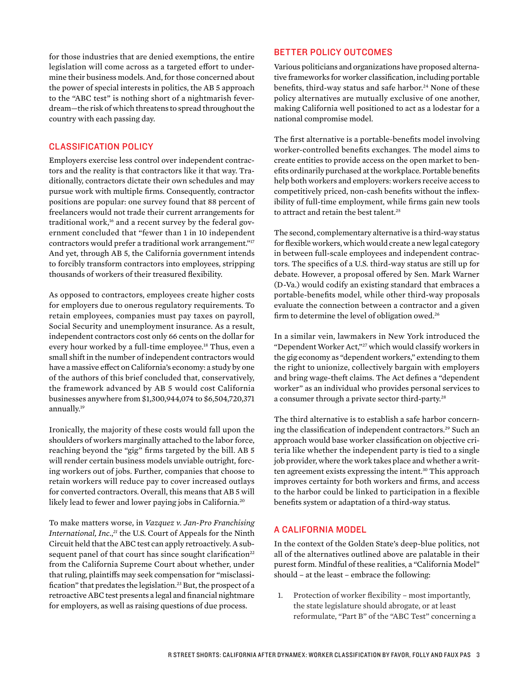for those industries that are denied exemptions, the entire legislation will come across as a targeted effort to undermine their business models. And, for those concerned about the power of special interests in politics, the AB 5 approach to the "ABC test" is nothing short of a nightmarish feverdream—the risk of which threatens to spread throughout the country with each passing day.

### CLASSIFICATION POLICY

Employers exercise less control over independent contractors and the reality is that contractors like it that way. Traditionally, contractors dictate their own schedules and may pursue work with multiple firms. Consequently, contractor positions are popular: one survey found that 88 percent of freelancers would not trade their current arrangements for traditional work,<sup>16</sup> and a recent survey by the federal government concluded that "fewer than 1 in 10 independent contractors would prefer a traditional work arrangement."17 And yet, through AB 5, the California government intends to forcibly transform contractors into employees, stripping thousands of workers of their treasured flexibility.

As opposed to contractors, employees create higher costs for employers due to onerous regulatory requirements. To retain employees, companies must pay taxes on payroll, Social Security and unemployment insurance. As a result, independent contractors cost only 66 cents on the dollar for every hour worked by a full-time employee.<sup>18</sup> Thus, even a small shift in the number of independent contractors would have a massive effect on California's economy: a study by one of the authors of this brief concluded that, conservatively, the framework advanced by AB 5 would cost California businesses anywhere from \$1,300,944,074 to \$6,504,720,371 annually.<sup>19</sup>

Ironically, the majority of these costs would fall upon the shoulders of workers marginally attached to the labor force, reaching beyond the "gig" firms targeted by the bill. AB 5 will render certain business models unviable outright, forcing workers out of jobs. Further, companies that choose to retain workers will reduce pay to cover increased outlays for converted contractors. Overall, this means that AB 5 will likely lead to fewer and lower paying jobs in California.<sup>20</sup>

To make matters worse, in *Vazquez v. Jan-Pro Franchising International, Inc.*, *<sup>21</sup>* the U.S. Court of Appeals for the Ninth Circuit held that the ABC test can apply retroactively. A subsequent panel of that court has since sought clarification<sup>22</sup> from the California Supreme Court about whether, under that ruling, plaintiffs may seek compensation for "misclassification" that predates the legislation.<sup>23</sup> But, the prospect of a retroactive ABC test presents a legal and financial nightmare for employers, as well as raising questions of due process.

### BETTER POLICY OUTCOMES

Various politicians and organizations have proposed alternative frameworks for worker classification, including portable benefits, third-way status and safe harbor.<sup>24</sup> None of these policy alternatives are mutually exclusive of one another, making California well positioned to act as a lodestar for a national compromise model.

The first alternative is a portable-benefits model involving worker-controlled benefits exchanges. The model aims to create entities to provide access on the open market to benefits ordinarily purchased at the workplace. Portable benefits help both workers and employers: workers receive access to competitively priced, non-cash benefits without the inflexibility of full-time employment, while firms gain new tools to attract and retain the best talent.<sup>25</sup>

The second, complementary alternative is a third-way status for flexible workers, which would create a new legal category in between full-scale employees and independent contractors. The specifics of a U.S. third-way status are still up for debate. However, a proposal offered by Sen. Mark Warner (D-Va.) would codify an existing standard that embraces a portable-benefits model, while other third-way proposals evaluate the connection between a contractor and a given firm to determine the level of obligation owed.26

In a similar vein, lawmakers in New York introduced the "Dependent Worker Act,"27 which would classify workers in the gig economy as "dependent workers," extending to them the right to unionize, collectively bargain with employers and bring wage-theft claims. The Act defines a "dependent worker" as an individual who provides personal services to a consumer through a private sector third-party.28

The third alternative is to establish a safe harbor concerning the classification of independent contractors.<sup>29</sup> Such an approach would base worker classification on objective criteria like whether the independent party is tied to a single job provider, where the work takes place and whether a written agreement exists expressing the intent.<sup>30</sup> This approach improves certainty for both workers and firms, and access to the harbor could be linked to participation in a flexible benefits system or adaptation of a third-way status.

### A CALIFORNIA MODEL

In the context of the Golden State's deep-blue politics, not all of the alternatives outlined above are palatable in their purest form. Mindful of these realities, a "California Model" should – at the least – embrace the following:

1. Protection of worker flexibility – most importantly, the state legislature should abrogate, or at least reformulate, "Part B" of the "ABC Test" concerning a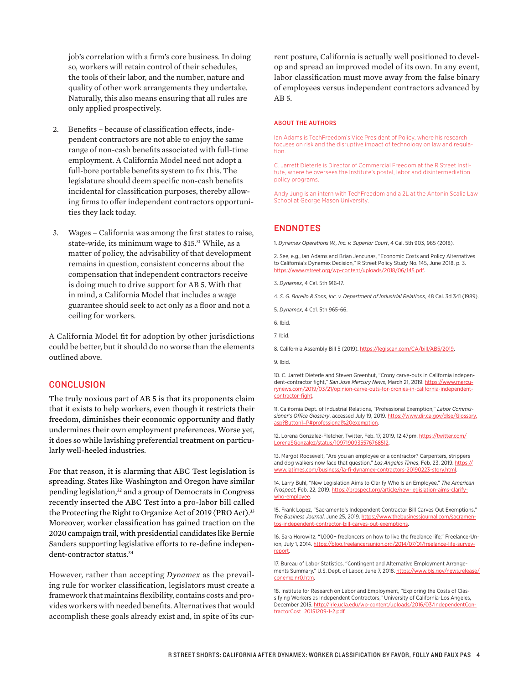job's correlation with a firm's core business. In doing so, workers will retain control of their schedules, the tools of their labor, and the number, nature and quality of other work arrangements they undertake. Naturally, this also means ensuring that all rules are only applied prospectively.

- 2. Benefits because of classification effects, independent contractors are not able to enjoy the same range of non-cash benefits associated with full-time employment. A California Model need not adopt a full-bore portable benefits system to fix this. The legislature should deem specific non-cash benefits incidental for classification purposes, thereby allowing firms to offer independent contractors opportunities they lack today.
- 3. Wages California was among the first states to raise, state-wide, its minimum wage to \$15.31 While, as a matter of policy, the advisability of that development remains in question, consistent concerns about the compensation that independent contractors receive is doing much to drive support for AB 5. With that in mind, a California Model that includes a wage guarantee should seek to act only as a floor and not a ceiling for workers.

A California Model fit for adoption by other jurisdictions could be better, but it should do no worse than the elements outlined above.

### **CONCLUSION**

The truly noxious part of AB 5 is that its proponents claim that it exists to help workers, even though it restricts their freedom, diminishes their economic opportunity and flatly undermines their own employment preferences. Worse yet, it does so while lavishing preferential treatment on particularly well-heeled industries.

For that reason, it is alarming that ABC Test legislation is spreading. States like Washington and Oregon have similar pending legislation,<sup>32</sup> and a group of Democrats in Congress recently inserted the ABC Test into a pro-labor bill called the Protecting the Right to Organize Act of 2019 (PRO Act).<sup>33</sup> Moreover, worker classification has gained traction on the 2020 campaign trail, with presidential candidates like Bernie Sanders supporting legislative efforts to re-define independent-contractor status.<sup>34</sup>

However, rather than accepting *Dynamex* as the prevailing rule for worker classification, legislators must create a framework that maintains flexibility, contains costs and provides workers with needed benefits. Alternatives that would accomplish these goals already exist and, in spite of its cur-

rent posture, California is actually well positioned to develop and spread an improved model of its own. In any event, labor classification must move away from the false binary of employees versus independent contractors advanced by AB 5.

### ABOUT THE AUTHORS

Ian Adams is TechFreedom's Vice President of Policy, where his research focuses on risk and the disruptive impact of technology on law and regulation.

C. Jarrett Dieterle is Director of Commercial Freedom at the R Street Institute, where he oversees the Institute's postal, labor and disintermediation policy programs.

Andy Jung is an intern with TechFreedom and a 2L at the Antonin Scalia Law School at George Mason University.

### ENDNOTES

1. *Dynamex Operations W., Inc. v. Superior Court*, 4 Cal. 5th 903, 965 (2018).

2. See, e.g., Ian Adams and Brian Jencunas, "Economic Costs and Policy Alternatives to California's Dynamex Decision," R Street Policy Study No. 145, June 2018, p. 3. https://www.rstreet.org/wp-content/uploads/2018/06/145.pdf.

3. *Dynamex*, 4 Cal. 5th 916-17.

- 4. *S. G. Borello & Sons, Inc. v. Department of Industrial Relations*, 48 Cal. 3d 341 (1989).
- 5. *Dynamex*, 4 Cal. 5th 965-66.

6. Ibid.

7. Ibid.

8. California Assembly Bill 5 (2019). https://legiscan.com/CA/bill/AB5/2019.

9. Ibid.

10. C. Jarrett Dieterle and Steven Greenhut, "Crony carve-outs in California independent-contractor fight," San Jose Mercury News, March 21, 2019. https://www.mercurynews.com/2019/03/21/opinion-carve-outs-for-cronies-in-california-independentcontractor-fight.

11. California Dept. of Industrial Relations, "Professional Exemption," *Labor Commissioner's Office Glossary*, accessed July 19, 2019. https://www.dir.ca.gov/dlse/Glossary. asp?Button1=P#professional%20exemption.

12. Lorena Gonzalez-Fletcher, Twitter, Feb. 17, 2019, 12:47pm. https://twitter.com/ LorenaSGonzalez/status/1097190935576768512.

13. Margot Roosevelt, "Are you an employee or a contractor? Carpenters, strippers and dog walkers now face that question," Los Angeles Times, Feb. 23, 2019. https:// www.latimes.com/business/la-fi-dynamex-contractors-20190223-story.html.

14. Larry Buhl, "New Legislation Aims to Clarify Who Is an Employee," *The American Prospect*, Feb. 22, 2019. https://prospect.org/article/new-legislation-aims-clarifywho-employee.

15. Frank Lopez, "Sacramento's Independent Contractor Bill Carves Out Exemptions," *The Business Journal*, June 25, 2019. https://www.thebusinessjournal.com/sacramentos-independent-contractor-bill-carves-out-exemptions.

16. Sara Horowitz, "1,000+ freelancers on how to live the freelance life," FreelancerUnion, July 1, 2014. https://blog.freelancersunion.org/2014/07/01/freelance-life-surveyreport.

17. Bureau of Labor Statistics, "Contingent and Alternative Employment Arrangements Summary," U.S. Dept. of Labor, June 7, 2018. https://www.bls.gov/news.release/ conemp.nr0.htm.

18. Institute for Research on Labor and Employment, "Exploring the Costs of Classifying Workers as Independent Contractors," University of California-Los Angeles, December 2015. http://irle.ucla.edu/wp-content/uploads/2016/03/IndependentContractorCost\_20151209-1-2.pdf.